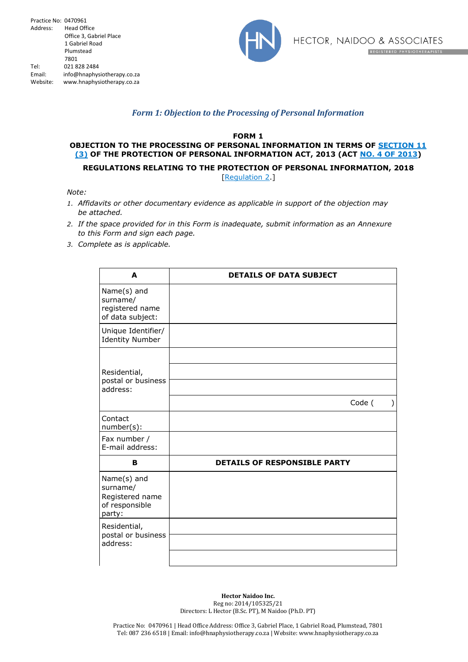

## *Form 1: Objection to the Processing of Personal Information*

**FORM 1**

## **OBJECTION TO THE PROCESSING OF PERSONAL INFORMATION IN TERMS OF SECTION 11 (3) OF THE PROTECTION OF PERSONAL INFORMATION ACT, 2013 (ACT NO. 4 OF 2013)**

**REGULATIONS RELATING TO THE PROTECTION OF PERSONAL INFORMATION, 2018**

[Regulation 2.]

*Note:*

- *1. Affidavits or other documentary evidence as applicable in support of the objection may be attached.*
- *2. If the space provided for in this Form is inadequate, submit information as an Annexure to this Form and sign each page.*
- *3. Complete as is applicable.*

| A                                                                      | <b>DETAILS OF DATA SUBJECT</b>      |
|------------------------------------------------------------------------|-------------------------------------|
| Name(s) and<br>surname/<br>registered name<br>of data subject:         |                                     |
| Unique Identifier/<br><b>Identity Number</b>                           |                                     |
| Residential,<br>postal or business<br>address:                         | Code (                              |
| Contact<br>number(s):                                                  |                                     |
| Fax number /<br>E-mail address:                                        |                                     |
| в                                                                      | <b>DETAILS OF RESPONSIBLE PARTY</b> |
| Name(s) and<br>surname/<br>Registered name<br>of responsible<br>party: |                                     |
| Residential,<br>postal or business<br>address:                         |                                     |
|                                                                        |                                     |

**Hector Naidoo Inc.** Reg no: 2014/105325/21 Directors: L Hector (B.Sc. PT), M Naidoo (Ph.D. PT)